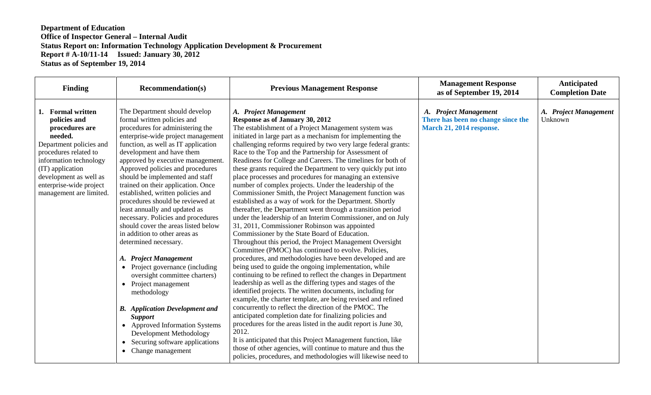| <b>Finding</b>                                                                                                                                                                                                                                   | <b>Recommendation(s)</b>                                                                                                                                                                                                                                                                                                                                                                                                                                                                                                                                                                                                                                                                                                                                                                                                                                                                                                                                                        | <b>Previous Management Response</b>                                                                                                                                                                                                                                                                                                                                                                                                                                                                                                                                                                                                                                                                                                                                                                                                                                                                                                                                                                                                                                                                                                                                                                                                                                                                                                                                                                                                                                                                                                                                                                                                                                                                                                                                                                                                  | <b>Management Response</b><br>as of September 19, 2014                                  | <b>Anticipated</b><br><b>Completion Date</b> |
|--------------------------------------------------------------------------------------------------------------------------------------------------------------------------------------------------------------------------------------------------|---------------------------------------------------------------------------------------------------------------------------------------------------------------------------------------------------------------------------------------------------------------------------------------------------------------------------------------------------------------------------------------------------------------------------------------------------------------------------------------------------------------------------------------------------------------------------------------------------------------------------------------------------------------------------------------------------------------------------------------------------------------------------------------------------------------------------------------------------------------------------------------------------------------------------------------------------------------------------------|--------------------------------------------------------------------------------------------------------------------------------------------------------------------------------------------------------------------------------------------------------------------------------------------------------------------------------------------------------------------------------------------------------------------------------------------------------------------------------------------------------------------------------------------------------------------------------------------------------------------------------------------------------------------------------------------------------------------------------------------------------------------------------------------------------------------------------------------------------------------------------------------------------------------------------------------------------------------------------------------------------------------------------------------------------------------------------------------------------------------------------------------------------------------------------------------------------------------------------------------------------------------------------------------------------------------------------------------------------------------------------------------------------------------------------------------------------------------------------------------------------------------------------------------------------------------------------------------------------------------------------------------------------------------------------------------------------------------------------------------------------------------------------------------------------------------------------------|-----------------------------------------------------------------------------------------|----------------------------------------------|
| 1. Formal written<br>policies and<br>procedures are<br>needed.<br>Department policies and<br>procedures related to<br>information technology<br>(IT) application<br>development as well as<br>enterprise-wide project<br>management are limited. | The Department should develop<br>formal written policies and<br>procedures for administering the<br>enterprise-wide project management<br>function, as well as IT application<br>development and have them<br>approved by executive management.<br>Approved policies and procedures<br>should be implemented and staff<br>trained on their application. Once<br>established, written policies and<br>procedures should be reviewed at<br>least annually and updated as<br>necessary. Policies and procedures<br>should cover the areas listed below<br>in addition to other areas as<br>determined necessary.<br><b>Project Management</b><br>A.<br>Project governance (including<br>$\bullet$<br>oversight committee charters)<br>• Project management<br>methodology<br><b>B.</b> Application Development and<br><b>Support</b><br>• Approved Information Systems<br>Development Methodology<br>Securing software applications<br>$\bullet$<br>Change management<br>$\bullet$ | A. Project Management<br>Response as of January 30, 2012<br>The establishment of a Project Management system was<br>initiated in large part as a mechanism for implementing the<br>challenging reforms required by two very large federal grants:<br>Race to the Top and the Partnership for Assessment of<br>Readiness for College and Careers. The timelines for both of<br>these grants required the Department to very quickly put into<br>place processes and procedures for managing an extensive<br>number of complex projects. Under the leadership of the<br>Commissioner Smith, the Project Management function was<br>established as a way of work for the Department. Shortly<br>thereafter, the Department went through a transition period<br>under the leadership of an Interim Commissioner, and on July<br>31, 2011, Commissioner Robinson was appointed<br>Commissioner by the State Board of Education.<br>Throughout this period, the Project Management Oversight<br>Committee (PMOC) has continued to evolve. Policies,<br>procedures, and methodologies have been developed and are<br>being used to guide the ongoing implementation, while<br>continuing to be refined to reflect the changes in Department<br>leadership as well as the differing types and stages of the<br>identified projects. The written documents, including for<br>example, the charter template, are being revised and refined<br>concurrently to reflect the direction of the PMOC. The<br>anticipated completion date for finalizing policies and<br>procedures for the areas listed in the audit report is June 30,<br>2012.<br>It is anticipated that this Project Management function, like<br>those of other agencies, will continue to mature and thus the<br>policies, procedures, and methodologies will likewise need to | A. Project Management<br>There has been no change since the<br>March 21, 2014 response. | A. Project Management<br>Unknown             |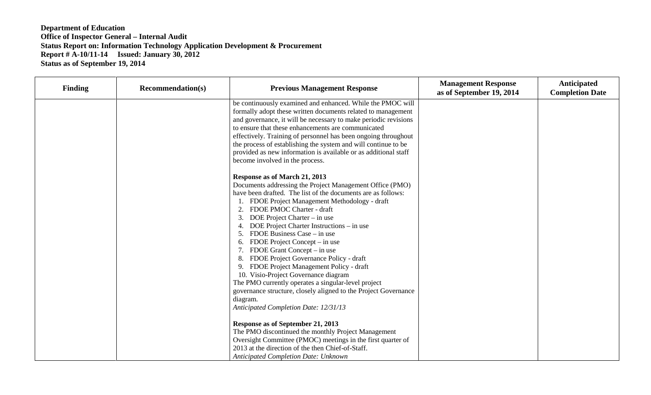| <b>Finding</b> | <b>Recommendation(s)</b> | <b>Previous Management Response</b>                                                                                                                                                                                                                                                                                                                                                                                                                                                                                                                                                                                                                                                                                                                                                                                                                                                                                                                                                                                       | <b>Management Response</b><br>as of September 19, 2014 | Anticipated<br><b>Completion Date</b> |
|----------------|--------------------------|---------------------------------------------------------------------------------------------------------------------------------------------------------------------------------------------------------------------------------------------------------------------------------------------------------------------------------------------------------------------------------------------------------------------------------------------------------------------------------------------------------------------------------------------------------------------------------------------------------------------------------------------------------------------------------------------------------------------------------------------------------------------------------------------------------------------------------------------------------------------------------------------------------------------------------------------------------------------------------------------------------------------------|--------------------------------------------------------|---------------------------------------|
|                |                          | be continuously examined and enhanced. While the PMOC will<br>formally adopt these written documents related to management<br>and governance, it will be necessary to make periodic revisions<br>to ensure that these enhancements are communicated<br>effectively. Training of personnel has been ongoing throughout<br>the process of establishing the system and will continue to be<br>provided as new information is available or as additional staff<br>become involved in the process.                                                                                                                                                                                                                                                                                                                                                                                                                                                                                                                             |                                                        |                                       |
|                |                          | Response as of March 21, 2013<br>Documents addressing the Project Management Office (PMO)<br>have been drafted. The list of the documents are as follows:<br>FDOE Project Management Methodology - draft<br>FDOE PMOC Charter - draft<br>2.<br>3.<br>DOE Project Charter – in use<br>4.<br>DOE Project Charter Instructions – in use<br>FDOE Business Case – in use<br>FDOE Project Concept – in use<br>FDOE Grant Concept – in use<br>FDOE Project Governance Policy - draft<br>8.<br>FDOE Project Management Policy - draft<br>9.<br>10. Visio-Project Governance diagram<br>The PMO currently operates a singular-level project<br>governance structure, closely aligned to the Project Governance<br>diagram.<br>Anticipated Completion Date: 12/31/13<br>Response as of September 21, 2013<br>The PMO discontinued the monthly Project Management<br>Oversight Committee (PMOC) meetings in the first quarter of<br>2013 at the direction of the then Chief-of-Staff.<br><b>Anticipated Completion Date: Unknown</b> |                                                        |                                       |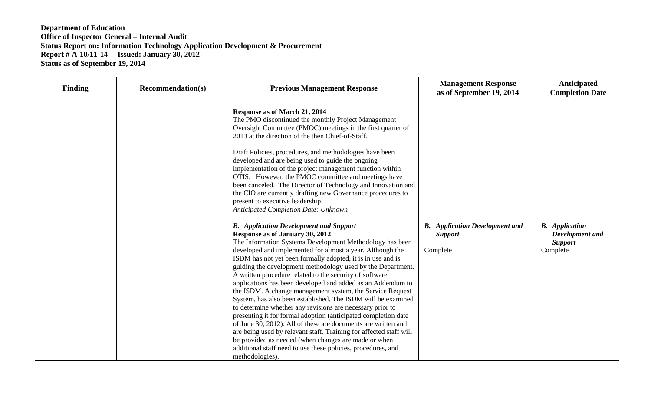| <b>Finding</b> | <b>Recommendation(s)</b> | <b>Previous Management Response</b>                                                                                                                                                                                                                                                                                                                                                                                                                                                                                                                                                                                                                                                                                                                                                                                                                                                                                                                                                                                                                                                                                                                                                                                                                                                                                                                                                                                                                                                                                                                                                                                                                                              | <b>Management Response</b><br>as of September 19, 2014              | Anticipated<br><b>Completion Date</b>                                  |
|----------------|--------------------------|----------------------------------------------------------------------------------------------------------------------------------------------------------------------------------------------------------------------------------------------------------------------------------------------------------------------------------------------------------------------------------------------------------------------------------------------------------------------------------------------------------------------------------------------------------------------------------------------------------------------------------------------------------------------------------------------------------------------------------------------------------------------------------------------------------------------------------------------------------------------------------------------------------------------------------------------------------------------------------------------------------------------------------------------------------------------------------------------------------------------------------------------------------------------------------------------------------------------------------------------------------------------------------------------------------------------------------------------------------------------------------------------------------------------------------------------------------------------------------------------------------------------------------------------------------------------------------------------------------------------------------------------------------------------------------|---------------------------------------------------------------------|------------------------------------------------------------------------|
|                |                          | Response as of March 21, 2014<br>The PMO discontinued the monthly Project Management<br>Oversight Committee (PMOC) meetings in the first quarter of<br>2013 at the direction of the then Chief-of-Staff.<br>Draft Policies, procedures, and methodologies have been<br>developed and are being used to guide the ongoing<br>implementation of the project management function within<br>OTIS. However, the PMOC committee and meetings have<br>been canceled. The Director of Technology and Innovation and<br>the CIO are currently drafting new Governance procedures to<br>present to executive leadership.<br><b>Anticipated Completion Date: Unknown</b><br><b>B.</b> Application Development and Support<br>Response as of January 30, 2012<br>The Information Systems Development Methodology has been<br>developed and implemented for almost a year. Although the<br>ISDM has not yet been formally adopted, it is in use and is<br>guiding the development methodology used by the Department.<br>A written procedure related to the security of software<br>applications has been developed and added as an Addendum to<br>the ISDM. A change management system, the Service Request<br>System, has also been established. The ISDM will be examined<br>to determine whether any revisions are necessary prior to<br>presenting it for formal adoption (anticipated completion date<br>of June 30, 2012). All of these are documents are written and<br>are being used by relevant staff. Training for affected staff will<br>be provided as needed (when changes are made or when<br>additional staff need to use these policies, procedures, and<br>methodologies). | <b>B.</b> Application Development and<br><b>Support</b><br>Complete | <b>B.</b> Application<br>Development and<br><b>Support</b><br>Complete |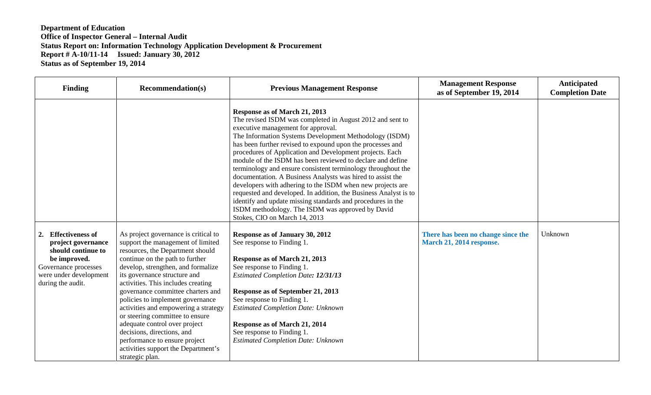| Finding                                                                                                                                                | <b>Recommendation(s)</b>                                                                                                                                                                                                                                                                                                                                                                                                                                                                                                                                                   | <b>Previous Management Response</b>                                                                                                                                                                                                                                                                                                                                                                                                                                                                                                                                                                                                                                                                                                                                                                    | <b>Management Response</b><br>as of September 19, 2014         | Anticipated<br><b>Completion Date</b> |
|--------------------------------------------------------------------------------------------------------------------------------------------------------|----------------------------------------------------------------------------------------------------------------------------------------------------------------------------------------------------------------------------------------------------------------------------------------------------------------------------------------------------------------------------------------------------------------------------------------------------------------------------------------------------------------------------------------------------------------------------|--------------------------------------------------------------------------------------------------------------------------------------------------------------------------------------------------------------------------------------------------------------------------------------------------------------------------------------------------------------------------------------------------------------------------------------------------------------------------------------------------------------------------------------------------------------------------------------------------------------------------------------------------------------------------------------------------------------------------------------------------------------------------------------------------------|----------------------------------------------------------------|---------------------------------------|
|                                                                                                                                                        |                                                                                                                                                                                                                                                                                                                                                                                                                                                                                                                                                                            | Response as of March 21, 2013<br>The revised ISDM was completed in August 2012 and sent to<br>executive management for approval.<br>The Information Systems Development Methodology (ISDM)<br>has been further revised to expound upon the processes and<br>procedures of Application and Development projects. Each<br>module of the ISDM has been reviewed to declare and define<br>terminology and ensure consistent terminology throughout the<br>documentation. A Business Analysts was hired to assist the<br>developers with adhering to the ISDM when new projects are<br>requested and developed. In addition, the Business Analyst is to<br>identify and update missing standards and procedures in the<br>ISDM methodology. The ISDM was approved by David<br>Stokes, CIO on March 14, 2013 |                                                                |                                       |
| 2. Effectiveness of<br>project governance<br>should continue to<br>be improved.<br>Governance processes<br>were under development<br>during the audit. | As project governance is critical to<br>support the management of limited<br>resources, the Department should<br>continue on the path to further<br>develop, strengthen, and formalize<br>its governance structure and<br>activities. This includes creating<br>governance committee charters and<br>policies to implement governance<br>activities and empowering a strategy<br>or steering committee to ensure<br>adequate control over project<br>decisions, directions, and<br>performance to ensure project<br>activities support the Department's<br>strategic plan. | Response as of January 30, 2012<br>See response to Finding 1.<br>Response as of March 21, 2013<br>See response to Finding 1.<br><b>Estimated Completion Date: 12/31/13</b><br>Response as of September 21, 2013<br>See response to Finding 1.<br><b>Estimated Completion Date: Unknown</b><br>Response as of March 21, 2014<br>See response to Finding 1.<br><b>Estimated Completion Date: Unknown</b>                                                                                                                                                                                                                                                                                                                                                                                                 | There has been no change since the<br>March 21, 2014 response. | Unknown                               |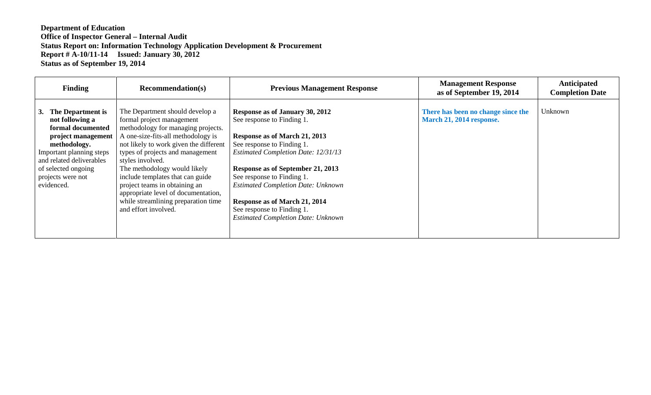| <b>Finding</b>                                                                                                                                                                                                          | <b>Recommendation(s)</b>                                                                                                                                                                                                                                                                                                                                                                                                                              | <b>Previous Management Response</b>                                                                                                                                                                                                                                                                                                                                                                    | <b>Management Response</b><br>as of September 19, 2014         | Anticipated<br><b>Completion Date</b> |
|-------------------------------------------------------------------------------------------------------------------------------------------------------------------------------------------------------------------------|-------------------------------------------------------------------------------------------------------------------------------------------------------------------------------------------------------------------------------------------------------------------------------------------------------------------------------------------------------------------------------------------------------------------------------------------------------|--------------------------------------------------------------------------------------------------------------------------------------------------------------------------------------------------------------------------------------------------------------------------------------------------------------------------------------------------------------------------------------------------------|----------------------------------------------------------------|---------------------------------------|
| The Department is<br>3.<br>not following a<br>formal documented<br>project management<br>methodology.<br>Important planning steps<br>and related deliverables<br>of selected ongoing<br>projects were not<br>evidenced. | The Department should develop a<br>formal project management<br>methodology for managing projects.<br>A one-size-fits-all methodology is<br>not likely to work given the different<br>types of projects and management<br>styles involved.<br>The methodology would likely<br>include templates that can guide<br>project teams in obtaining an<br>appropriate level of documentation,<br>while streamlining preparation time<br>and effort involved. | Response as of January 30, 2012<br>See response to Finding 1.<br>Response as of March 21, 2013<br>See response to Finding 1.<br><b>Estimated Completion Date: 12/31/13</b><br>Response as of September 21, 2013<br>See response to Finding 1.<br><b>Estimated Completion Date: Unknown</b><br>Response as of March 21, 2014<br>See response to Finding 1.<br><b>Estimated Completion Date: Unknown</b> | There has been no change since the<br>March 21, 2014 response. | Unknown                               |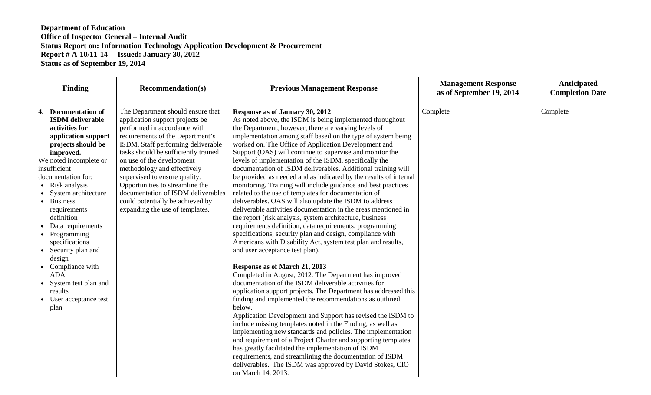| <b>Finding</b><br><b>Recommendation(s)</b>                                                                                                                                                                                                                                                                                                                                                                                                                                                                                                                                                                                                                                                                                                                                                                                                                                                                                                                     | <b>Previous Management Response</b>                                                                                                                                                                                                                                                                                                                                                                                                                                                                                                                                                                                                                                                                                                                                                                                                                                                                                                                                                                                                                                                                                                                                                                                                                                                                                                                                                                                                                                                                        | <b>Management Response</b><br>as of September 19, 2014 | Anticipated<br><b>Completion Date</b> |
|----------------------------------------------------------------------------------------------------------------------------------------------------------------------------------------------------------------------------------------------------------------------------------------------------------------------------------------------------------------------------------------------------------------------------------------------------------------------------------------------------------------------------------------------------------------------------------------------------------------------------------------------------------------------------------------------------------------------------------------------------------------------------------------------------------------------------------------------------------------------------------------------------------------------------------------------------------------|------------------------------------------------------------------------------------------------------------------------------------------------------------------------------------------------------------------------------------------------------------------------------------------------------------------------------------------------------------------------------------------------------------------------------------------------------------------------------------------------------------------------------------------------------------------------------------------------------------------------------------------------------------------------------------------------------------------------------------------------------------------------------------------------------------------------------------------------------------------------------------------------------------------------------------------------------------------------------------------------------------------------------------------------------------------------------------------------------------------------------------------------------------------------------------------------------------------------------------------------------------------------------------------------------------------------------------------------------------------------------------------------------------------------------------------------------------------------------------------------------------|--------------------------------------------------------|---------------------------------------|
| 4. Documentation of<br>The Department should ensure that<br><b>ISDM</b> deliverable<br>application support projects be<br>performed in accordance with<br>activities for<br>requirements of the Department's<br>application support<br>ISDM. Staff performing deliverable<br>projects should be<br>tasks should be sufficiently trained<br>improved.<br>We noted incomplete or<br>on use of the development<br>methodology and effectively<br>insufficient<br>supervised to ensure quality.<br>documentation for:<br>Opportunities to streamline the<br>• Risk analysis<br>documentation of ISDM deliverables<br>• System architecture<br>could potentially be achieved by<br>• Business<br>expanding the use of templates.<br>requirements<br>definition<br>• Data requirements<br>• Programming<br>specifications<br>• Security plan and<br>design<br>• Compliance with<br><b>ADA</b><br>• System test plan and<br>results<br>• User acceptance test<br>plan | Response as of January 30, 2012<br>As noted above, the ISDM is being implemented throughout<br>the Department; however, there are varying levels of<br>implementation among staff based on the type of system being<br>worked on. The Office of Application Development and<br>Support (OAS) will continue to supervise and monitor the<br>levels of implementation of the ISDM, specifically the<br>documentation of ISDM deliverables. Additional training will<br>be provided as needed and as indicated by the results of internal<br>monitoring. Training will include guidance and best practices<br>related to the use of templates for documentation of<br>deliverables. OAS will also update the ISDM to address<br>deliverable activities documentation in the areas mentioned in<br>the report (risk analysis, system architecture, business<br>requirements definition, data requirements, programming<br>specifications, security plan and design, compliance with<br>Americans with Disability Act, system test plan and results,<br>and user acceptance test plan).<br>Response as of March 21, 2013<br>Completed in August, 2012. The Department has improved<br>documentation of the ISDM deliverable activities for<br>application support projects. The Department has addressed this<br>finding and implemented the recommendations as outlined<br>below.<br>Application Development and Support has revised the ISDM to<br>include missing templates noted in the Finding, as well as | Complete                                               | Complete                              |
|                                                                                                                                                                                                                                                                                                                                                                                                                                                                                                                                                                                                                                                                                                                                                                                                                                                                                                                                                                | implementing new standards and policies. The implementation<br>and requirement of a Project Charter and supporting templates<br>has greatly facilitated the implementation of ISDM<br>requirements, and streamlining the documentation of ISDM<br>deliverables. The ISDM was approved by David Stokes, CIO<br>on March 14, 2013.                                                                                                                                                                                                                                                                                                                                                                                                                                                                                                                                                                                                                                                                                                                                                                                                                                                                                                                                                                                                                                                                                                                                                                           |                                                        |                                       |